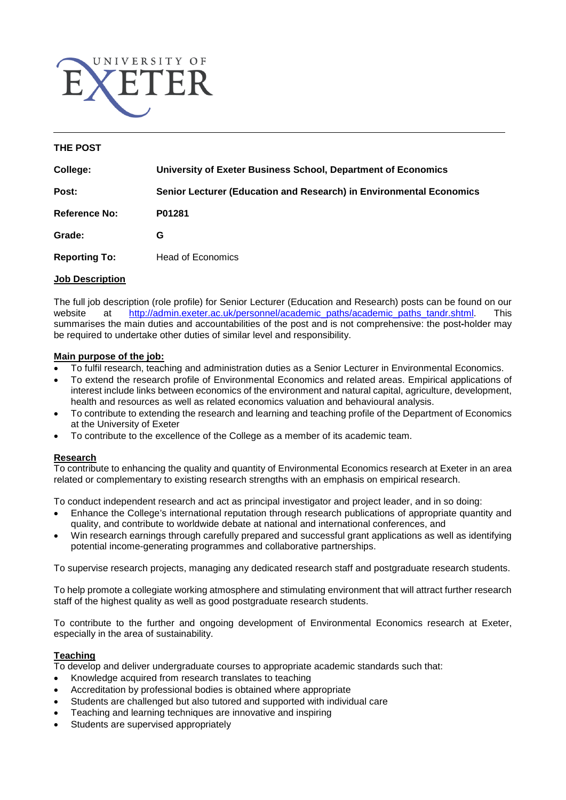

#### **THE POST**

| College:             | University of Exeter Business School, Department of Economics       |
|----------------------|---------------------------------------------------------------------|
| Post:                | Senior Lecturer (Education and Research) in Environmental Economics |
| <b>Reference No:</b> | P01281                                                              |
| Grade:               | G                                                                   |
| <b>Reporting To:</b> | <b>Head of Economics</b>                                            |

#### **Job Description**

The full job description (role profile) for Senior Lecturer (Education and Research) posts can be found on our website at [http://admin.exeter.ac.uk/personnel/academic\\_paths/academic\\_paths\\_tandr.shtml.](http://admin.exeter.ac.uk/personnel/academic_paths/academic_paths_tandr.shtml) This summarises the main duties and accountabilities of the post and is not comprehensive: the post**-**holder may be required to undertake other duties of similar level and responsibility.

#### **Main purpose of the job:**

- To fulfil research, teaching and administration duties as a Senior Lecturer in Environmental Economics.
- To extend the research profile of Environmental Economics and related areas. Empirical applications of interest include links between economics of the environment and natural capital, agriculture, development, health and resources as well as related economics valuation and behavioural analysis.
- To contribute to extending the research and learning and teaching profile of the Department of Economics at the University of Exeter
- To contribute to the excellence of the College as a member of its academic team.

### **Research**

To contribute to enhancing the quality and quantity of Environmental Economics research at Exeter in an area related or complementary to existing research strengths with an emphasis on empirical research.

To conduct independent research and act as principal investigator and project leader, and in so doing:

- Enhance the College's international reputation through research publications of appropriate quantity and quality, and contribute to worldwide debate at national and international conferences, and
- Win research earnings through carefully prepared and successful grant applications as well as identifying potential income-generating programmes and collaborative partnerships.

To supervise research projects, managing any dedicated research staff and postgraduate research students.

To help promote a collegiate working atmosphere and stimulating environment that will attract further research staff of the highest quality as well as good postgraduate research students.

To contribute to the further and ongoing development of Environmental Economics research at Exeter, especially in the area of sustainability.

### **Teaching**

To develop and deliver undergraduate courses to appropriate academic standards such that:

- Knowledge acquired from research translates to teaching
- Accreditation by professional bodies is obtained where appropriate
- Students are challenged but also tutored and supported with individual care
- Teaching and learning techniques are innovative and inspiring
- Students are supervised appropriately